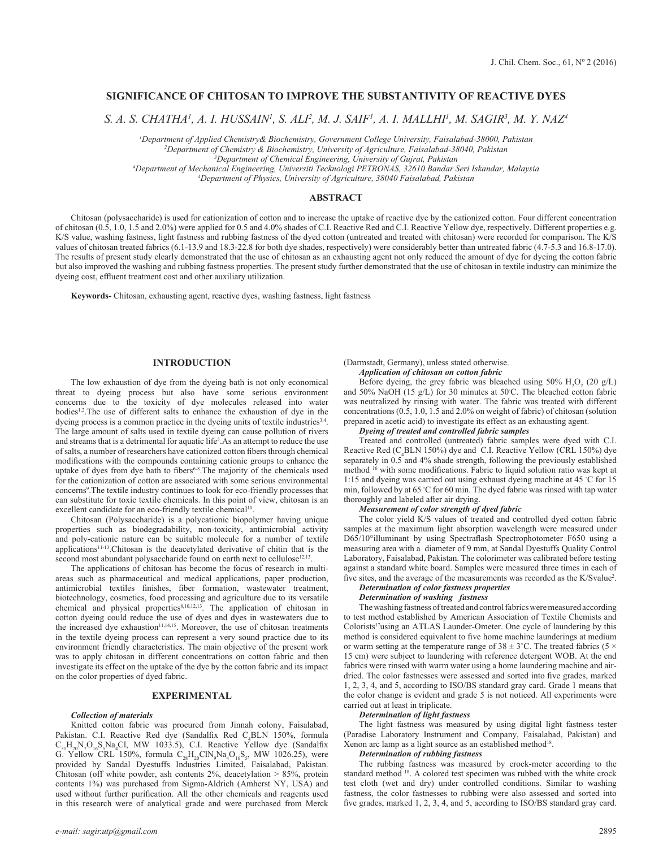# **SIGNIFICANCE OF CHITOSAN TO IMPROVE THE SUBSTANTIVITY OF REACTIVE DYES**

*S. A. S. CHATHA1 , A. I. HUSSAIN1 , S. ALI2 , M. J. SAIF1 , A. I. MALLHI1 , M. SAGIR3 , M. Y. NAZ4*

*1 Department of Applied Chemistry& Biochemistry, Government College University, Faisalabad-38000, Pakistan*

*2 Department of Chemistry & Biochemistry, University of Agriculture, Faisalabad-38040, Pakistan*

<sup>3</sup>Department of Chemical Engineering, University of Gujrat, Pakistan

*Department of Chemical Engineering, University of Gujrat, Pakistan 4 Department of Mechanical Engineering, Universiti Tecknologi PETRONAS, 32610 Bandar Seri Iskandar, Malaysia*

*4 Department of Physics, University of Agriculture, 38040 Faisalabad, Pakistan*

## **ABSTRACT**

Chitosan (polysaccharide) is used for cationization of cotton and to increase the uptake of reactive dye by the cationized cotton. Four different concentration of chitosan (0.5, 1.0, 1.5 and 2.0%) were applied for 0.5 and 4.0% shades of C.I. Reactive Red and C.I. Reactive Yellow dye, respectively. Different properties e.g. K/S value, washing fastness, light fastness and rubbing fastness of the dyed cotton (untreated and treated with chitosan) were recorded for comparison. The K/S values of chitosan treated fabrics (6.1-13.9 and 18.3-22.8 for both dye shades, respectively) were considerably better than untreated fabric (4.7-5.3 and 16.8-17.0). The results of present study clearly demonstrated that the use of chitosan as an exhausting agent not only reduced the amount of dye for dyeing the cotton fabric but also improved the washing and rubbing fastness properties. The present study further demonstrated that the use of chitosan in textile industry can minimize the dyeing cost, effluent treatment cost and other auxiliary utilization.

**Keywords-** Chitosan, exhausting agent, reactive dyes, washing fastness, light fastness

## **INTRODUCTION**

The low exhaustion of dye from the dyeing bath is not only economical threat to dyeing process but also have some serious environment concerns due to the toxicity of dye molecules released into water bodies<sup>1,2</sup>. The use of different salts to enhance the exhaustion of dye in the dyeing process is a common practice in the dyeing units of textile industries<sup>3,4</sup>. The large amount of salts used in textile dyeing can cause pollution of rivers and streams that is a detrimental for aquatic life<sup>5</sup>. As an attempt to reduce the use of salts, a number of researchers have cationized cotton fibers through chemical modifications with the compounds containing cationic groups to enhance the uptake of dyes from dye bath to fibers<sup>6-8</sup>. The majority of the chemicals used for the cationization of cotton are associated with some serious environmental concerns9 .The textile industry continues to look for eco-friendly processes that can substitute for toxic textile chemicals. In this point of view, chitosan is an excellent candidate for an eco-friendly textile chemical<sup>10</sup>

Chitosan (Polysaccharide) is a polycationic biopolymer having unique properties such as biodegradability, non-toxicity, antimicrobial activity and poly-cationic nature can be suitable molecule for a number of textile applications11-13.Chitosan is the deacetylated derivative of chitin that is the second most abundant polysaccharide found on earth next to cellulose<sup>12,13</sup>.

The applications of chitosan has become the focus of research in multiareas such as pharmaceutical and medical applications, paper production, antimicrobial textiles finishes, fiber formation, wastewater treatment, biotechnology, cosmetics, food processing and agriculture due to its versatile chemical and physical properties<sup>8,10,12,13</sup>. The application of chitosan in cotton dyeing could reduce the use of dyes and dyes in wastewaters due to the increased dye exhaustion<sup>11,14,15</sup>. Moreover, the use of chitosan treatments in the textile dyeing process can represent a very sound practice due to its environment friendly characteristics. The main objective of the present work was to apply chitosan in different concentrations on cotton fabric and then investigate its effect on the uptake of the dye by the cotton fabric and its impact on the color properties of dyed fabric.

## **EXPERIMENTAL**

#### *Collection of materials*

Knitted cotton fabric was procured from Jinnah colony, Faisalabad, Pakistan. C.I. Reactive Red dye (Sandalfix Red C<sub>4</sub>BLN 150%, formula  $C_{31}H_{20}N_7O_{16}S_5Na_4Cl$ , MW 1033.5), C.I. Reactive Yellow dye (Sandalfix G. Yellow CRL 150%, formula  $C_{28}H_{20}CIN_{9}Na_{4}O_{16}S_{5}$ , MW 1026.25), were provided by Sandal Dyestuffs Industries Limited, Faisalabad, Pakistan. Chitosan (off white powder, ash contents  $2\%$ , deacetylation  $> 85\%$ , protein contents 1%) was purchased from Sigma-Aldrich (Amherst NY, USA) and used without further purification. All the other chemicals and reagents used in this research were of analytical grade and were purchased from Merck (Darmstadt, Germany), unless stated otherwise. *Application of chitosan on cotton fabric*

Before dyeing, the grey fabric was bleached using 50%  $H_2O_2$  (20 g/L) and 50% NaOH (15 g/L) for 30 minutes at 50◦ C. The bleached cotton fabric was neutralized by rinsing with water. The fabric was treated with different concentrations (0.5, 1.0, 1.5 and 2.0% on weight of fabric) of chitosan (solution prepared in acetic acid) to investigate its effect as an exhausting agent.

#### *Dyeing of treated and controlled fabric samples*

Treated and controlled (untreated) fabric samples were dyed with C.I. Reactive Red ( $C_4$ BLN 150%) dye and C.I. Reactive Yellow (CRL 150%) dye separately in 0.5 and 4% shade strength, following the previously established method 16 with some modifications. Fabric to liquid solution ratio was kept at 1:15 and dyeing was carried out using exhaust dyeing machine at 45 ℃ for 15 min, followed by at 65 ℃ for 60 min. The dyed fabric was rinsed with tap water thoroughly and labeled after air drying.

## *Measurement of color strength of dyed fabric*

The color yield K/S values of treated and controlled dyed cotton fabric samples at the maximum light absorption wavelength were measured under D65/10°illuminant by using Spectraflash Spectrophotometer F650 using a measuring area with a diameter of 9 mm, at Sandal Dyestuffs Quality Control Laboratory, Faisalabad, Pakistan. The colorimeter was calibrated before testing against a standard white board. Samples were measured three times in each of five sites, and the average of the measurements was recorded as the K/Svalue<sup>2</sup>.

#### *Determination of color fastness properties Determination of washing fastness*

The washing fastness of treated and control fabrics were measured according to test method established by American Association of Textile Chemists and Colorists<sup>17</sup>using an ATLAS Launder-Ometer. One cycle of laundering by this method is considered equivalent to five home machine launderings at medium or warm setting at the temperature range of  $38 \pm 3^{\circ}$ C. The treated fabrics (5  $\times$ 15 cm) were subject to laundering with reference detergent WOB. At the end fabrics were rinsed with warm water using a home laundering machine and airdried. The color fastnesses were assessed and sorted into five grades, marked 1, 2, 3, 4, and 5, according to ISO/BS standard gray card. Grade 1 means that the color change is evident and grade 5 is not noticed. All experiments were carried out at least in triplicate.

#### *Determination of light fastness*

The light fastness was measured by using digital light fastness tester (Paradise Laboratory Instrument and Company, Faisalabad, Pakistan) and Xenon arc lamp as a light source as an established method<sup>18</sup>.

#### *Determination of rubbing fastness*

The rubbing fastness was measured by crock-meter according to the standard method <sup>18</sup>. A colored test specimen was rubbed with the white crock test cloth (wet and dry) under controlled conditions. Similar to washing fastness, the color fastnesses to rubbing were also assessed and sorted into five grades, marked 1, 2, 3, 4, and 5, according to ISO/BS standard gray card.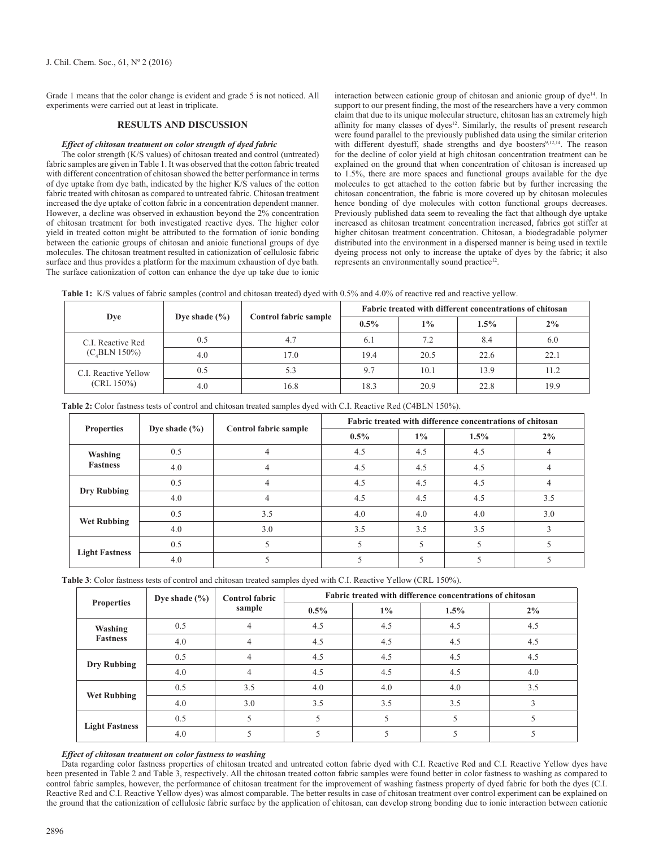Grade 1 means that the color change is evident and grade 5 is not noticed. All experiments were carried out at least in triplicate.

## **RESULTS AND DISCUSSION**

#### *Effect of chitosan treatment on color strength of dyed fabric*

The color strength (K/S values) of chitosan treated and control (untreated) fabric samples are given in Table 1. It was observed that the cotton fabric treated with different concentration of chitosan showed the better performance in terms of dye uptake from dye bath, indicated by the higher K/S values of the cotton fabric treated with chitosan as compared to untreated fabric. Chitosan treatment increased the dye uptake of cotton fabric in a concentration dependent manner. However, a decline was observed in exhaustion beyond the 2% concentration of chitosan treatment for both investigated reactive dyes. The higher color yield in treated cotton might be attributed to the formation of ionic bonding between the cationic groups of chitosan and anioic functional groups of dye molecules. The chitosan treatment resulted in cationization of cellulosic fabric surface and thus provides a platform for the maximum exhaustion of dye bath. The surface cationization of cotton can enhance the dye up take due to ionic interaction between cationic group of chitosan and anionic group of dye<sup>14</sup>. In support to our present finding, the most of the researchers have a very common claim that due to its unique molecular structure, chitosan has an extremely high affinity for many classes of dyes<sup>12</sup>. Similarly, the results of present research were found parallel to the previously published data using the similar criterion with different dyestuff, shade strengths and dye boosters<sup>9,12,14</sup>. The reason for the decline of color yield at high chitosan concentration treatment can be explained on the ground that when concentration of chitosan is increased up to 1.5%, there are more spaces and functional groups available for the dye molecules to get attached to the cotton fabric but by further increasing the chitosan concentration, the fabric is more covered up by chitosan molecules hence bonding of dye molecules with cotton functional groups decreases. Previously published data seem to revealing the fact that although dye uptake increased as chitosan treatment concentration increased, fabrics got stiffer at higher chitosan treatment concentration. Chitosan, a biodegradable polymer distributed into the environment in a dispersed manner is being used in textile dyeing process not only to increase the uptake of dyes by the fabric; it also represents an environmentally sound practice<sup>12</sup>.

**Table 1:** K/S values of fabric samples (control and chitosan treated) dyed with 0.5% and 4.0% of reactive red and reactive yellow.

|                                         |                   |                       | Fabric treated with different concentrations of chitosan |       |         |       |
|-----------------------------------------|-------------------|-----------------------|----------------------------------------------------------|-------|---------|-------|
| Dye                                     | Dye shade $(\% )$ | Control fabric sample | $0.5\%$                                                  | $1\%$ | $1.5\%$ | $2\%$ |
| C.I. Reactive Red<br>$(C_{4}BLN 150\%)$ | 0.5               | 4.7                   | 6.1                                                      | 7.2   | 8.4     | 6.0   |
|                                         | 4.0               | 17.0                  | 19.4                                                     | 20.5  | 22.6    | 22.1  |
| C.I. Reactive Yellow<br>$(CRL 150\%)$   | 0.5               | 5.3                   | 9.7                                                      | 10.1  | 13.9    | 11.2  |
|                                         | 4.0               | 16.8                  | 18.3                                                     | 20.9  | 22.8    | 19.9  |

| <b>Properties</b>          | Dye shade $(\% )$ | <b>Control fabric sample</b> | Fabric treated with difference concentrations of chitosan |       |         |       |
|----------------------------|-------------------|------------------------------|-----------------------------------------------------------|-------|---------|-------|
|                            |                   |                              | $0.5\%$                                                   | $1\%$ | $1.5\%$ | $2\%$ |
| Washing<br><b>Fastness</b> | 0.5               | 4                            | 4.5                                                       | 4.5   | 4.5     | 4     |
|                            | 4.0               | 4                            | 4.5                                                       | 4.5   | 4.5     |       |
| <b>Dry Rubbing</b>         | 0.5               | 4                            | 4.5                                                       | 4.5   | 4.5     | 4     |
|                            | 4.0               | 4                            | 4.5                                                       | 4.5   | 4.5     | 3.5   |
| <b>Wet Rubbing</b>         | 0.5               | 3.5                          | 4.0                                                       | 4.0   | 4.0     | 3.0   |
|                            | 4.0               | 3.0                          | 3.5                                                       | 3.5   | 3.5     |       |
| <b>Light Fastness</b>      | 0.5               |                              |                                                           |       |         |       |
|                            | 4.0               |                              |                                                           |       |         |       |

**Table 2:** Color fastness tests of control and chitosan treated samples dyed with C.I. Reactive Red (C4BLN 150%).

**Table 3**: Color fastness tests of control and chitosan treated samples dyed with C.I. Reactive Yellow (CRL 150%).

| <b>Properties</b>          | Dye shade $(\% )$ | <b>Control fabric</b><br>sample | Fabric treated with difference concentrations of chitosan |       |         |     |  |
|----------------------------|-------------------|---------------------------------|-----------------------------------------------------------|-------|---------|-----|--|
|                            |                   |                                 | $0.5\%$                                                   | $1\%$ | $1.5\%$ | 2%  |  |
| Washing<br><b>Fastness</b> | 0.5               | 4                               | 4.5                                                       | 4.5   | 4.5     | 4.5 |  |
|                            | 4.0               | 4                               | 4.5                                                       | 4.5   | 4.5     | 4.5 |  |
| <b>Dry Rubbing</b>         | 0.5               | 4                               | 4.5                                                       | 4.5   | 4.5     | 4.5 |  |
|                            | 4.0               |                                 | 4.5                                                       | 4.5   | 4.5     | 4.0 |  |
| <b>Wet Rubbing</b>         | 0.5               | 3.5                             | 4.0                                                       | 4.0   | 4.0     | 3.5 |  |
|                            | 4.0               | 3.0                             | 3.5                                                       | 3.5   | 3.5     | 3   |  |
| <b>Light Fastness</b>      | 0.5               |                                 | 5                                                         | 5     |         |     |  |
|                            | 4.0               |                                 |                                                           |       |         |     |  |

#### *Effect of chitosan treatment on color fastness to washing*

Data regarding color fastness properties of chitosan treated and untreated cotton fabric dyed with C.I. Reactive Red and C.I. Reactive Yellow dyes have been presented in Table 2 and Table 3, respectively. All the chitosan treated cotton fabric samples were found better in color fastness to washing as compared to control fabric samples, however, the performance of chitosan treatment for the improvement of washing fastness property of dyed fabric for both the dyes (C.I. Reactive Red and C.I. Reactive Yellow dyes) was almost comparable. The better results in case of chitosan treatment over control experiment can be explained on the ground that the cationization of cellulosic fabric surface by the application of chitosan, can develop strong bonding due to ionic interaction between cationic